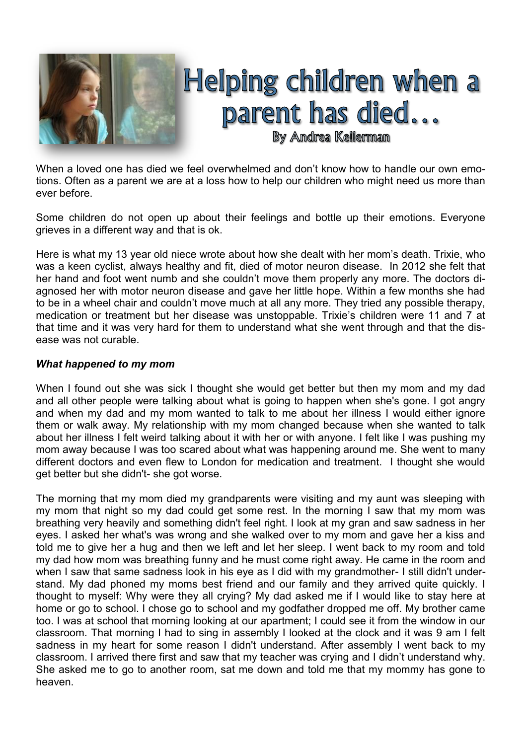

When a loved one has died we feel overwhelmed and don't know how to handle our own emotions. Often as a parent we are at a loss how to help our children who might need us more than ever before.

Some children do not open up about their feelings and bottle up their emotions. Everyone grieves in a different way and that is ok.

Here is what my 13 year old niece wrote about how she dealt with her mom's death. Trixie, who was a keen cyclist, always healthy and fit, died of motor neuron disease. In 2012 she felt that her hand and foot went numb and she couldn't move them properly any more. The doctors diagnosed her with motor neuron disease and gave her little hope. Within a few months she had to be in a wheel chair and couldn't move much at all any more. They tried any possible therapy, medication or treatment but her disease was unstoppable. Trixie's children were 11 and 7 at that time and it was very hard for them to understand what she went through and that the disease was not curable.

## *What happened to my mom*

When I found out she was sick I thought she would get better but then my mom and my dad and all other people were talking about what is going to happen when she's gone. I got angry and when my dad and my mom wanted to talk to me about her illness I would either ignore them or walk away. My relationship with my mom changed because when she wanted to talk about her illness I felt weird talking about it with her or with anyone. I felt like I was pushing my mom away because I was too scared about what was happening around me. She went to many different doctors and even flew to London for medication and treatment. I thought she would get better but she didn't- she got worse.

The morning that my mom died my grandparents were visiting and my aunt was sleeping with my mom that night so my dad could get some rest. In the morning I saw that my mom was breathing very heavily and something didn't feel right. I look at my gran and saw sadness in her eyes. I asked her what's was wrong and she walked over to my mom and gave her a kiss and told me to give her a hug and then we left and let her sleep. I went back to my room and told my dad how mom was breathing funny and he must come right away. He came in the room and when I saw that same sadness look in his eye as I did with my grandmother- I still didn't understand. My dad phoned my moms best friend and our family and they arrived quite quickly. I thought to myself: Why were they all crying? My dad asked me if I would like to stay here at home or go to school. I chose go to school and my godfather dropped me off. My brother came too. I was at school that morning looking at our apartment; I could see it from the window in our classroom. That morning I had to sing in assembly I looked at the clock and it was 9 am I felt sadness in my heart for some reason I didn't understand. After assembly I went back to my classroom. I arrived there first and saw that my teacher was crying and I didn't understand why. She asked me to go to another room, sat me down and told me that my mommy has gone to heaven.